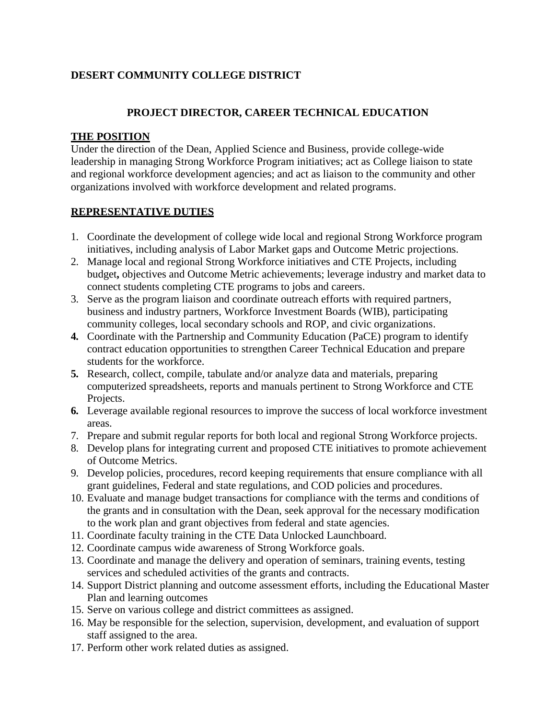# **DESERT COMMUNITY COLLEGE DISTRICT**

## **PROJECT DIRECTOR, CAREER TECHNICAL EDUCATION**

### **THE POSITION**

Under the direction of the Dean, Applied Science and Business, provide college-wide leadership in managing Strong Workforce Program initiatives; act as College liaison to state and regional workforce development agencies; and act as liaison to the community and other organizations involved with workforce development and related programs.

### **REPRESENTATIVE DUTIES**

- 1. Coordinate the development of college wide local and regional Strong Workforce program initiatives, including analysis of Labor Market gaps and Outcome Metric projections.
- 2. Manage local and regional Strong Workforce initiatives and CTE Projects, including budget**,** objectives and Outcome Metric achievements; leverage industry and market data to connect students completing CTE programs to jobs and careers.
- 3. Serve as the program liaison and coordinate outreach efforts with required partners, business and industry partners, Workforce Investment Boards (WIB), participating community colleges, local secondary schools and ROP, and civic organizations.
- **4.** Coordinate with the Partnership and Community Education (PaCE) program to identify contract education opportunities to strengthen Career Technical Education and prepare students for the workforce.
- **5.** Research, collect, compile, tabulate and/or analyze data and materials, preparing computerized spreadsheets, reports and manuals pertinent to Strong Workforce and CTE Projects.
- **6.** Leverage available regional resources to improve the success of local workforce investment areas.
- 7. Prepare and submit regular reports for both local and regional Strong Workforce projects.
- 8. Develop plans for integrating current and proposed CTE initiatives to promote achievement of Outcome Metrics.
- 9. Develop policies, procedures, record keeping requirements that ensure compliance with all grant guidelines, Federal and state regulations, and COD policies and procedures.
- 10. Evaluate and manage budget transactions for compliance with the terms and conditions of the grants and in consultation with the Dean, seek approval for the necessary modification to the work plan and grant objectives from federal and state agencies.
- 11. Coordinate faculty training in the CTE Data Unlocked Launchboard.
- 12. Coordinate campus wide awareness of Strong Workforce goals.
- 13. Coordinate and manage the delivery and operation of seminars, training events, testing services and scheduled activities of the grants and contracts.
- 14. Support District planning and outcome assessment efforts, including the Educational Master Plan and learning outcomes
- 15. Serve on various college and district committees as assigned.
- 16. May be responsible for the selection, supervision, development, and evaluation of support staff assigned to the area.
- 17. Perform other work related duties as assigned.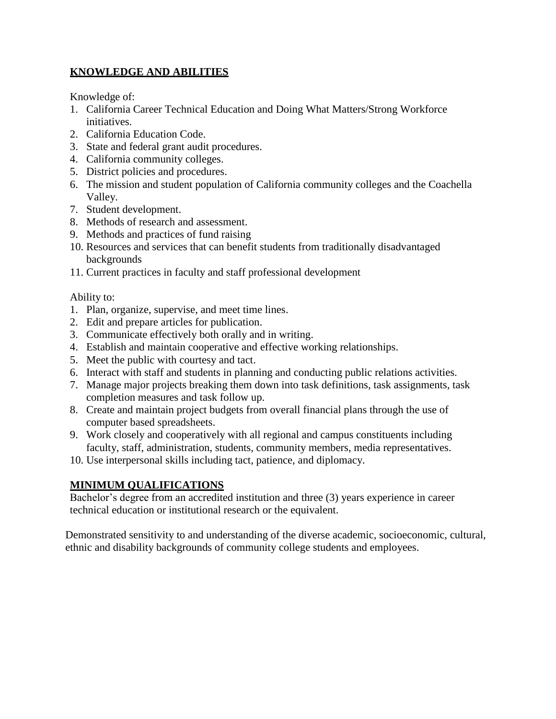# **KNOWLEDGE AND ABILITIES**

Knowledge of:

- 1. California Career Technical Education and Doing What Matters/Strong Workforce initiatives.
- 2. California Education Code.
- 3. State and federal grant audit procedures.
- 4. California community colleges.
- 5. District policies and procedures.
- 6. The mission and student population of California community colleges and the Coachella Valley.
- 7. Student development.
- 8. Methods of research and assessment.
- 9. Methods and practices of fund raising
- 10. Resources and services that can benefit students from traditionally disadvantaged backgrounds
- 11. Current practices in faculty and staff professional development

## Ability to:

- 1. Plan, organize, supervise, and meet time lines.
- 2. Edit and prepare articles for publication.
- 3. Communicate effectively both orally and in writing.
- 4. Establish and maintain cooperative and effective working relationships.
- 5. Meet the public with courtesy and tact.
- 6. Interact with staff and students in planning and conducting public relations activities.
- 7. Manage major projects breaking them down into task definitions, task assignments, task completion measures and task follow up.
- 8. Create and maintain project budgets from overall financial plans through the use of computer based spreadsheets.
- 9. Work closely and cooperatively with all regional and campus constituents including faculty, staff, administration, students, community members, media representatives.
- 10. Use interpersonal skills including tact, patience, and diplomacy.

# **MINIMUM QUALIFICATIONS**

Bachelor's degree from an accredited institution and three (3) years experience in career technical education or institutional research or the equivalent.

Demonstrated sensitivity to and understanding of the diverse academic, socioeconomic, cultural, ethnic and disability backgrounds of community college students and employees.